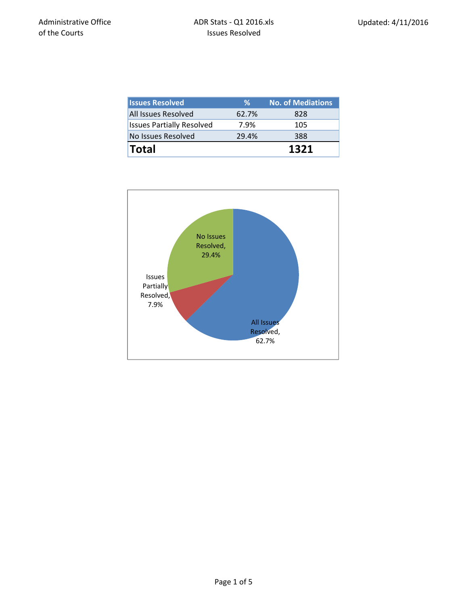| <b>Issues Resolved</b>           | ℅     | <b>No. of Mediations</b> |
|----------------------------------|-------|--------------------------|
| <b>All Issues Resolved</b>       | 62.7% | 828                      |
| <b>Issues Partially Resolved</b> | 7.9%  | 105                      |
| No Issues Resolved               | 29.4% | 388                      |
| <b>Total</b>                     |       | 1321                     |

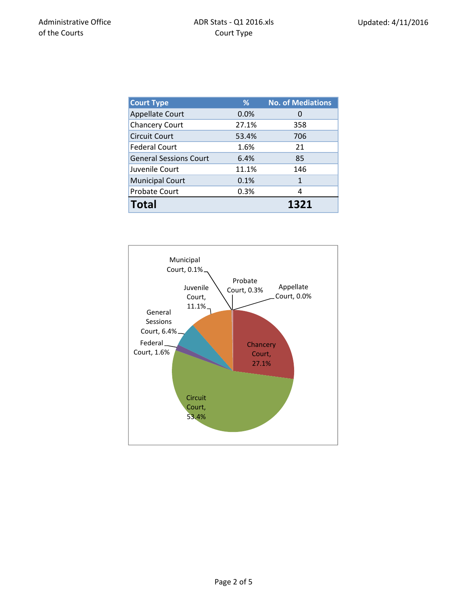| <b>Court Type</b>             | %     | <b>No. of Mediations</b> |
|-------------------------------|-------|--------------------------|
| <b>Appellate Court</b>        | 0.0%  | $\Omega$                 |
| <b>Chancery Court</b>         | 27.1% | 358                      |
| <b>Circuit Court</b>          | 53.4% | 706                      |
| <b>Federal Court</b>          | 1.6%  | 21                       |
| <b>General Sessions Court</b> | 6.4%  | 85                       |
| Juvenile Court                | 11.1% | 146                      |
| <b>Municipal Court</b>        | 0.1%  | 1                        |
| Probate Court                 | 0.3%  | 4                        |
| <b>Total</b>                  |       | 1321                     |

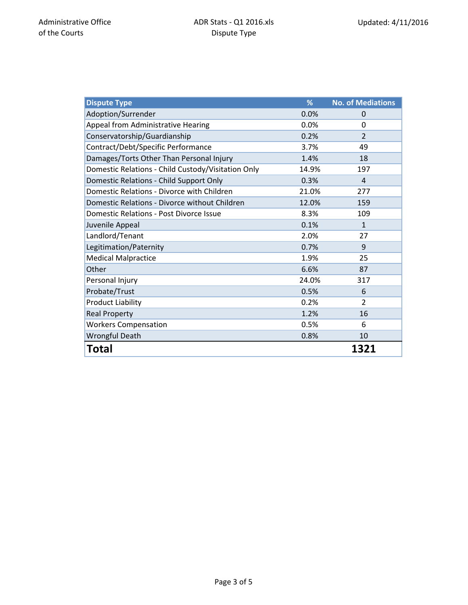| <b>Dispute Type</b>                                | %     | <b>No. of Mediations</b> |
|----------------------------------------------------|-------|--------------------------|
| Adoption/Surrender                                 | 0.0%  | $\Omega$                 |
| Appeal from Administrative Hearing                 | 0.0%  | 0                        |
| Conservatorship/Guardianship                       | 0.2%  | $\mathfrak{D}$           |
| Contract/Debt/Specific Performance                 | 3.7%  | 49                       |
| Damages/Torts Other Than Personal Injury           | 1.4%  | 18                       |
| Domestic Relations - Child Custody/Visitation Only | 14.9% | 197                      |
| Domestic Relations - Child Support Only            | 0.3%  | $\overline{4}$           |
| Domestic Relations - Divorce with Children         | 21.0% | 277                      |
| Domestic Relations - Divorce without Children      | 12.0% | 159                      |
| <b>Domestic Relations - Post Divorce Issue</b>     | 8.3%  | 109                      |
| Juvenile Appeal                                    | 0.1%  | $\mathbf{1}$             |
| Landlord/Tenant                                    | 2.0%  | 27                       |
| Legitimation/Paternity                             | 0.7%  | 9                        |
| <b>Medical Malpractice</b>                         | 1.9%  | 25                       |
| Other                                              | 6.6%  | 87                       |
| Personal Injury                                    | 24.0% | 317                      |
| Probate/Trust                                      | 0.5%  | 6                        |
| <b>Product Liability</b>                           | 0.2%  | $\overline{2}$           |
| <b>Real Property</b>                               | 1.2%  | 16                       |
| <b>Workers Compensation</b>                        | 0.5%  | 6                        |
| <b>Wrongful Death</b>                              | 0.8%  | 10                       |
| Total                                              |       | 1321                     |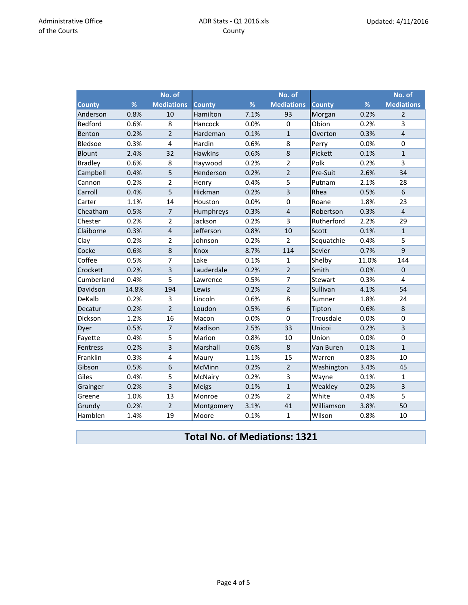|                |       | No. of            |                |      | No. of            |               |       | No. of            |
|----------------|-------|-------------------|----------------|------|-------------------|---------------|-------|-------------------|
| <b>County</b>  | %     | <b>Mediations</b> | <b>County</b>  | %    | <b>Mediations</b> | <b>County</b> | %     | <b>Mediations</b> |
| Anderson       | 0.8%  | 10                | Hamilton       | 7.1% | 93                | Morgan        | 0.2%  | $\overline{2}$    |
| <b>Bedford</b> | 0.6%  | 8                 | Hancock        | 0.0% | 0                 | Obion         | 0.2%  | 3                 |
| Benton         | 0.2%  | $\overline{2}$    | Hardeman       | 0.1% | $\mathbf{1}$      | Overton       | 0.3%  | $\overline{4}$    |
| Bledsoe        | 0.3%  | $\overline{4}$    | Hardin         | 0.6% | 8                 | Perry         | 0.0%  | $\mathbf 0$       |
| <b>Blount</b>  | 2.4%  | 32                | <b>Hawkins</b> | 0.6% | 8                 | Pickett       | 0.1%  | $\mathbf{1}$      |
| <b>Bradley</b> | 0.6%  | 8                 | Haywood        | 0.2% | $\overline{2}$    | Polk          | 0.2%  | 3                 |
| Campbell       | 0.4%  | 5                 | Henderson      | 0.2% | $\overline{2}$    | Pre-Suit      | 2.6%  | 34                |
| Cannon         | 0.2%  | $\overline{2}$    | Henry          | 0.4% | 5                 | Putnam        | 2.1%  | 28                |
| Carroll        | 0.4%  | 5                 | Hickman        | 0.2% | $\overline{3}$    | Rhea          | 0.5%  | 6                 |
| Carter         | 1.1%  | 14                | Houston        | 0.0% | 0                 | Roane         | 1.8%  | 23                |
| Cheatham       | 0.5%  | $\overline{7}$    | Humphreys      | 0.3% | $\overline{4}$    | Robertson     | 0.3%  | $\overline{4}$    |
| Chester        | 0.2%  | $\overline{2}$    | Jackson        | 0.2% | 3                 | Rutherford    | 2.2%  | 29                |
| Claiborne      | 0.3%  | $\overline{4}$    | Jefferson      | 0.8% | 10                | Scott         | 0.1%  | $\mathbf{1}$      |
| Clay           | 0.2%  | $\overline{2}$    | Johnson        | 0.2% | $\overline{2}$    | Sequatchie    | 0.4%  | 5                 |
| Cocke          | 0.6%  | 8                 | Knox           | 8.7% | 114               | Sevier        | 0.7%  | 9                 |
| Coffee         | 0.5%  | $\overline{7}$    | Lake           | 0.1% | 1                 | Shelby        | 11.0% | 144               |
| Crockett       | 0.2%  | 3                 | Lauderdale     | 0.2% | $\overline{2}$    | Smith         | 0.0%  | $\Omega$          |
| Cumberland     | 0.4%  | 5                 | Lawrence       | 0.5% | 7                 | Stewart       | 0.3%  | 4                 |
| Davidson       | 14.8% | 194               | Lewis          | 0.2% | $\overline{2}$    | Sullivan      | 4.1%  | 54                |
| DeKalb         | 0.2%  | 3                 | Lincoln        | 0.6% | 8                 | Sumner        | 1.8%  | 24                |
| Decatur        | 0.2%  | $\overline{2}$    | Loudon         | 0.5% | 6                 | Tipton        | 0.6%  | 8                 |
| Dickson        | 1.2%  | 16                | Macon          | 0.0% | $\mathbf{0}$      | Trousdale     | 0.0%  | $\mathbf 0$       |
| Dyer           | 0.5%  | $\overline{7}$    | Madison        | 2.5% | 33                | Unicoi        | 0.2%  | 3                 |
| Fayette        | 0.4%  | 5                 | Marion         | 0.8% | 10                | Union         | 0.0%  | $\mathbf 0$       |
| Fentress       | 0.2%  | 3                 | Marshall       | 0.6% | 8                 | Van Buren     | 0.1%  | $\mathbf{1}$      |
| Franklin       | 0.3%  | 4                 | Maury          | 1.1% | 15                | Warren        | 0.8%  | 10                |
| Gibson         | 0.5%  | 6                 | McMinn         | 0.2% | $\overline{2}$    | Washington    | 3.4%  | 45                |
| Giles          | 0.4%  | 5                 | McNairy        | 0.2% | 3                 | Wayne         | 0.1%  | $\mathbf 1$       |
| Grainger       | 0.2%  | 3                 | <b>Meigs</b>   | 0.1% | $\mathbf{1}$      | Weakley       | 0.2%  | 3                 |
| Greene         | 1.0%  | 13                | Monroe         | 0.2% | $\overline{2}$    | White         | 0.4%  | 5                 |
| Grundy         | 0.2%  | $\overline{2}$    | Montgomery     | 3.1% | 41                | Williamson    | 3.8%  | 50                |
| Hamblen        | 1.4%  | 19                | Moore          | 0.1% | $\mathbf{1}$      | Wilson        | 0.8%  | 10                |

## **Total No. of Mediations: 1321**